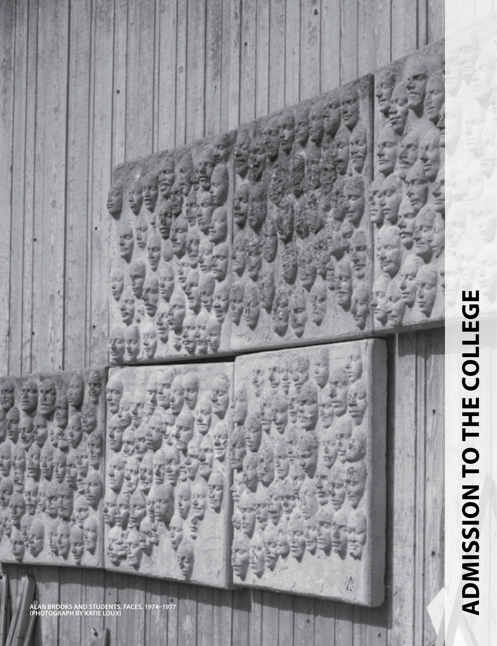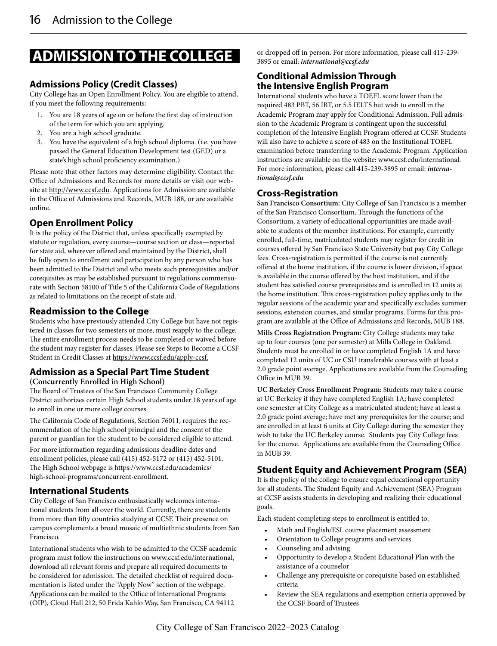# **ADMISSION TO THE COLLEGE**

## **Admissions Policy (Credit Classes)**

City College has an Open Enrollment Policy. You are eligible to attend, if you meet the following requirements:

- 1. You are 18 years of age on or before the first day of instruction of the term for which you are applying.
- 2. You are a high school graduate.
- 3. You have the equivalent of a high school diploma. (i.e. you have passed the General Education Development test (GED) or a state's high school proficiency examination.)

Please note that other factors may determine eligibility. Contact the Office of Admissions and Records for more details or visit our website at http://www.ccsf.edu. Applications for Admission are available in the Office of Admissions and Records, MUB 188, or are available online.

# **Open Enrollment Policy**

It is the policy of the District that, unless specifically exempted by statute or regulation, every course**—**course section or class**—**reported for state aid, wherever offered and maintained by the District, shall be fully open to enrollment and participation by any person who has been admitted to the District and who meets such prerequisites and/or corequisites as may be established pursuant to regulations commensurate with Section 58100 of Title 5 of the California Code of Regulations as related to limitations on the receipt of state aid.

# **Readmission to the College**

Students who have previously attended City College but have not registered in classes for two semesters or more, must reapply to the college. The entire enrollment process needs to be completed or waived before the student may register for classes. Please see Steps to Become a CCSF Student in Credit Classes at https://www.ccsf.edu/apply-ccsf.

#### **Admission as a Special Part Time Student (Concurrently Enrolled in High School)**

The Board of Trustees of the San Francisco Community College District authorizes certain High School students under 18 years of age to enroll in one or more college courses.

The California Code of Regulations, Section 76011, requires the recommendation of the high school principal and the consent of the parent or guardian for the student to be considered eligible to attend. For more information regarding admissions deadline dates and enrollment policies, please call (415) 452-5172 or (415) 452-5101. The High School webpage is https://www.ccsf.edu/academics/ high-school-programs/concurrent-enrollment.

## **International Students**

City College of San Francisco enthusiastically welcomes international students from all over the world. Currently, there are students from more than fifty countries studying at CCSF. Their presence on campus complements a broad mosaic of multiethnic students from San Francisco.

International students who wish to be admitted to the CCSF academic program must follow the instructions on www.ccsf.edu/international, download all relevant forms and prepare all required documents to be considered for admission. The detailed checklist of required documentation is listed under the "Apply Now" section of the webpage. Applications can be mailed to the Office of lnternational Programs (OIP), Cloud Hall 212, 50 Frida Kahlo Way, San Francisco, CA 94112

or dropped off in person. For more information, please call 415-239- 3895 or email: *international@ccsf.edu*

#### **Conditional Admission Through the Intensive English Program**

International students who have a TOEFL score lower than the required 483 PBT, 56 IBT, or 5.5 IELTS but wish to enroll in the Academic Program may apply for Conditional Admission. Full admission to the Academic Program is contingent upon the successful completion of the Intensive English Program offered at CCSF. Students will also have to achieve a score of 483 on the Institutional TOEFL examination before transferring to the Academic Program. Application instructions are available on the website: www.ccsf.edu/international. For more information, please call 415-239-3895 or email: *international@ccsf.edu*

# **Cross-Registration**

**San Francisco Consortium:** City College of San Francisco is a member of the San Francisco Consortium. Through the functions of the Consortium, a variety of educational opportunities are made available to students of the member institutions. For example, currently enrolled, full-time, matriculated students may register for credit in courses offered by San Francisco State University but pay City College fees. Cross-registration is permitted if the course is not currently offered at the home institution, if the course is lower division, if space is available in the course offered by the host institution, and if the student has satisfied course prerequisites and is enrolled in 12 units at the home institution. This cross-registration policy applies only to the regular sessions of the academic year and specifically excludes summer sessions, extension courses, and similar programs. Forms for this program are available at the Office of Admissions and Records, MUB 188.

**Mills Cross Registration Program:** City College students may take up to four courses (one per semester) at Mills College in Oakland. Students must be enrolled in or have completed English 1A and have completed 12 units of UC or CSU transferable courses with at least a 2.0 grade point average. Applications are available from the Counseling Office in MUB 39.

**UC Berkeley Cross Enrollment Program**: Students may take a course at UC Berkeley if they have completed English 1A; have completed one semester at City College as a matriculated student; have at least a 2.0 grade point average; have met any prerequisites for the course; and are enrolled in at least 6 units at City College during the semester they wish to take the UC Berkeley course. Students pay City College fees for the course. Applications are available from the Counseling Office in MUB 39.

# **Student Equity and Achievement Program (SEA)**

It is the policy of the college to ensure equal educational opportunity for all students. The Student Equity and Achievement (SEA) Program at CCSF assists students in developing and realizing their educational goals.

Each student completing steps to enrollment is entitled to:

- Math and English/ESL course placement assessment
- Orientation to College programs and services
- Counseling and advising
- Opportunity to develop a Student Educational Plan with the assistance of a counselor
- Challenge any prerequisite or corequisite based on established criteria
- Review the SEA regulations and exemption criteria approved by the CCSF Board of Trustees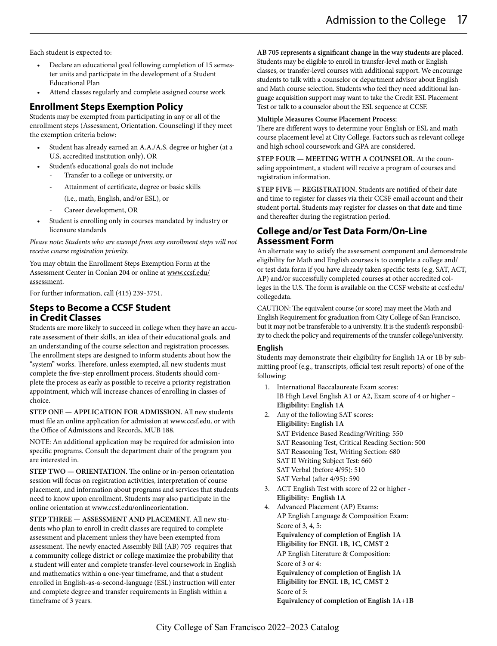Each student is expected to:

- Declare an educational goal following completion of 15 semester units and participate in the development of a Student Educational Plan
- Attend classes regularly and complete assigned course work

#### **Enrollment Steps Exemption Policy**

Students may be exempted from participating in any or all of the enrollment steps (Assessment, Orientation. Counseling) if they meet the exemption criteria below:

- Student has already earned an A.A./A.S. degree or higher (at a U.S. accredited institution only), OR
- Student's educational goals do not include
	- Transfer to a college or university, or
	- Attainment of certificate, degree or basic skills
	- (i.e., math, English, and/or ESL), or
	- Career development, OR
- Student is enrolling only in courses mandated by industry or licensure standards

*Please note: Students who are exempt from any enrollment steps will not receive course registration priority.* 

You may obtain the Enrollment Steps Exemption Form at the Assessment Center in Conlan 204 or online at www.ccsf.edu/ assessment.

For further information, call (415) 239-3751.

#### **Steps to Become a CCSF Student in Credit Classes**

Students are more likely to succeed in college when they have an accurate assessment of their skills, an idea of their educational goals, and an understanding of the course selection and registration processes. The enrollment steps are designed to inform students about how the "system" works. Therefore, unless exempted, all new students must complete the five-step enrollment process. Students should complete the process as early as possible to receive a priority registration appointment, which will increase chances of enrolling in classes of choice.

**STEP ONE — APPLICATION FOR ADMISSION.** All new students must file an online application for admission at www.ccsf.edu. or with the Office of Admissions and Records, MUB 188.

NOTE: An additional application may be required for admission into specific programs. Consult the department chair of the program you are interested in.

**STEP TWO — ORIENTATION.** The online or in-person orientation session will focus on registration activities, interpretation of course placement, and information about programs and services that students need to know upon enrollment. Students may also participate in the online orientation at www.ccsf.edu/onlineorientation.

**STEP THREE — ASSESSMENT AND PLACEMENT.** All new students who plan to enroll in credit classes are required to complete assessment and placement unless they have been exempted from assessment. The newly enacted Assembly Bill (AB) 705 requires that a community college district or college maximize the probability that a student will enter and complete transfer-level coursework in English and mathematics within a one-year timeframe, and that a student enrolled in English-as-a-second-language (ESL) instruction will enter and complete degree and transfer requirements in English within a timeframe of 3 years.

**AB 705 represents a significant change in the way students are placed.**  Students may be eligible to enroll in transfer-level math or English classes, or transfer-level courses with additional support. We encourage students to talk with a counselor or department advisor about English and Math course selection. Students who feel they need additional language acquisition support may want to take the Credit ESL Placement Test or talk to a counselor about the ESL sequence at CCSF.

#### **Multiple Measures Course Placement Process:**

There are different ways to determine your English or ESL and math course placement level at City College. Factors such as relevant college and high school coursework and GPA are considered.

**STEP FOUR — MEETING WITH A COUNSELOR.** At the counseling appointment, a student will receive a program of courses and registration information.

**STEP FIVE — REGISTRATION.** Students are notified of their date and time to register for classes via their CCSF email account and their student portal. Students may register for classes on that date and time and thereafter during the registration period.

#### **College and/or Test Data Form/On-Line Assessment Form**

An alternate way to satisfy the assessment component and demonstrate eligibility for Math and English courses is to complete a college and/ or test data form if you have already taken specific tests (e.g, SAT, ACT, AP) and/or successfully completed courses at other accredited colleges in the U.S. The form is available on the CCSF website at ccsf.edu/ collegedata.

CAUTION: The equivalent course (or score) may meet the Math and English Requirement for graduation from City College of San Francisco, but it may not be transferable to a university. It is the student's responsibility to check the policy and requirements of the transfer college/university.

#### **English**

Students may demonstrate their eligibility for English 1A or 1B by submitting proof (e.g., transcripts, official test result reports) of one of the following:

- 1. International Baccalaureate Exam scores: IB High Level English A1 or A2, Exam score of 4 or higher – **Eligibility: English 1A**
- 2. Any of the following SAT scores: **Eligibility: English 1A** SAT Evidence Based Reading/Writing: 550 SAT Reasoning Test, Critical Reading Section: 500 SAT Reasoning Test, Writing Section: 680 SAT II Writing Subject Test: 660 SAT Verbal (before 4/95): 510 SAT Verbal (after 4/95): 590
- 3. ACT English Test with score of 22 or higher **Eligibility: English 1A**
- 4. Advanced Placement (AP) Exams: AP English Language & Composition Exam: Score of 3, 4, 5: **Equivalency of completion of English 1A Eligibility for ENGL 1B, 1C, CMST 2** AP English Literature & Composition: Score of 3 or 4: **Equivalency of completion of English 1A Eligibility for ENGL 1B, 1C, CMST 2** Score of 5: **Equivalency of completion of English 1A+1B**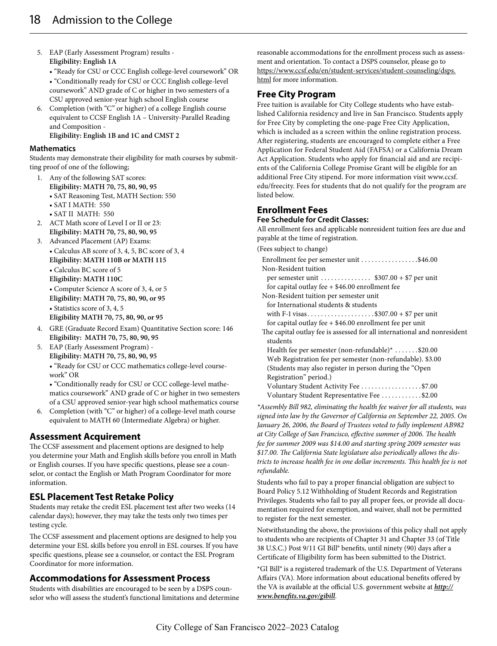- 5. EAP (Early Assessment Program) results **Eligibility: English 1A**
	- "Ready for CSU or CCC English college-level coursework" OR • "Conditionally ready for CSU or CCC English college-level coursework" AND grade of C or higher in two semesters of a CSU approved senior-year high school English course
- 6. Completion (with "C" or higher) of a college English course equivalent to CCSF English 1A – University-Parallel Reading and Composition - **Eligibility: English 1B and 1C and CMST 2**

#### **Mathematics**

Students may demonstrate their eligibility for math courses by submitting proof of one of the following;

- 1. Any of the following SAT scores:
	- **Eligibility: MATH 70, 75, 80, 90, 95**
	- SAT Reasoning Test, MATH Section: 550
	- SAT I MATH: 550
	- SAT II MATH: 550
- 2. ACT Math score of Level I or II or 23: **Eligibility: MATH 70, 75, 80, 90, 95**
- 3. Advanced Placement (AP) Exams:
- Calculus AB score of 3, 4, 5, BC score of 3, 4 **Eligibility: MATH 110B or MATH 115** • Calculus BC score of 5 **Eligibility: MATH 110C** • Computer Science A score of 3, 4, or 5 **Eligibility: MATH 70, 75, 80, 90, or 95** • Statistics score of 3, 4, 5 **Eligibility MATH 70, 75, 80, 90, or 95**
- 4. GRE (Graduate Record Exam) Quantitative Section score: 146 **Eligibility: MATH 70, 75, 80, 90, 95**
- 5. EAP (Early Assessment Program) **Eligibility: MATH 70, 75, 80, 90, 95** • "Ready for CSU or CCC mathematics college-level coursework" OR

• "Conditionally ready for CSU or CCC college-level mathematics coursework" AND grade of C or higher in two semesters of a CSU approved senior-year high school mathematics course

6. Completion (with "C" or higher) of a college-level math course equivalent to MATH 60 (Intermediate Algebra) or higher.

## **Assessment Acquirement**

The CCSF assessment and placement options are designed to help you determine your Math and English skills before you enroll in Math or English courses. If you have specific questions, please see a counselor, or contact the English or Math Program Coordinator for more information.

## **ESL Placement Test Retake Policy**

Students may retake the credit ESL placement test after two weeks (14 calendar days); however, they may take the tests only two times per testing cycle.

The CCSF assessment and placement options are designed to help you determine your ESL skills before you enroll in ESL courses. If you have specific questions, please see a counselor, or contact the ESL Program Coordinator for more information.

## **Accommodations for Assessment Process**

Students with disabilities are encouraged to be seen by a DSPS counselor who will assess the student's functional limitations and determine reasonable accommodations for the enrollment process such as assessment and orientation. To contact a DSPS counselor, please go to https://www.ccsf.edu/en/student-services/student-counseling/dsps. html for more information.

#### **Free City Program**

Free tuition is available for City College students who have established California residency and live in San Francisco. Students apply for Free City by completing the one-page Free City Application, which is included as a screen within the online registration process. After registering, students are encouraged to complete either a Free Application for Federal Student Aid (FAFSA) or a California Dream Act Application. Students who apply for financial aid and are recipients of the California College Promise Grant will be eligible for an additional Free City stipend. For more information visit www.ccsf. edu/freecity. Fees for students that do not qualify for the program are listed below.

# **Enrollment Fees**

#### **Fee Schedule for Credit Classes:**

All enrollment fees and applicable nonresident tuition fees are due and payable at the time of registration.

(Fees subject to change)

| Enrollment fee per semester unit \$46.00                                 |
|--------------------------------------------------------------------------|
| Non-Resident tuition                                                     |
| per semester unit $$307.00 + $7$ per unit                                |
| for capital outlay fee $+$ \$46.00 enrollment fee                        |
| Non-Resident tuition per semester unit                                   |
| for International students & students                                    |
| with F-1 visas\$307.00 + \$7 per unit                                    |
| for capital outlay fee $+$ \$46.00 enrollment fee per unit               |
| The capital outlay fee is assessed for all international and nonresident |
| students                                                                 |
| Health fee per semester (non-refundable)* $\dots \dots$ \$20.00          |
| Web Registration fee per semester (non-refundable). \$3.00               |
| (Students may also register in person during the "Open")                 |
| Registration" period.)                                                   |
| Voluntary Student Activity Fee \$7.00                                    |
| Voluntary Student Representative Fee \$2.00                              |

*\*Assembly Bill 982, eliminating the health fee waiver for all students, was signed into law by the Governor of California on September 22, 2005. On January 26, 2006, the Board of Trustees voted to fully implement AB982 at City College of San Francisco, effective summer of 2006. The health fee for summer 2009 was \$14.00 and starting spring 2009 semester was \$17.00. The California State legislature also periodically allows the districts to increase health fee in one dollar increments. This health fee is not refundable.*

Students who fail to pay a proper financial obligation are subject to Board Policy 5.12 Withholding of Student Records and Registration Privileges. Students who fail to pay all proper fees, or provide all documentation required for exemption, and waiver, shall not be permitted to register for the next semester.

Notwithstanding the above, the provisions of this policy shall not apply to students who are recipients of Chapter 31 and Chapter 33 (of Title 38 U.S.C.) Post 9/11 GI Bill® benefits, until ninety (90) days after a Certificate of Eligibility form has been submitted to the District.

\*GI Bill® is a registered trademark of the U.S. Department of Veterans Affairs (VA). More information about educational benefits offered by the VA is available at the official U.S. government website at *http:// www.benefits.va.gov/gibill*.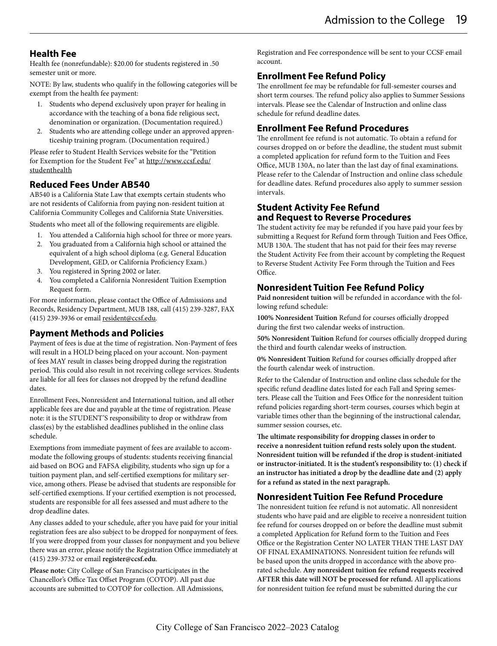## **Health Fee**

Health fee (nonrefundable): \$20.00 for students registered in .50 semester unit or more.

NOTE: By law, students who qualify in the following categories will be exempt from the health fee payment:

- 1. Students who depend exclusively upon prayer for healing in accordance with the teaching of a bona fide religious sect, denomination or organization. (Documentation required.)
- 2. Students who are attending college under an approved apprenticeship training program. (Documentation required.)

Please refer to Student Health Services website for the "Petition for Exemption for the Student Fee" at http://www.ccsf.edu/ studenthealth

# **Reduced Fees Under AB540**

AB540 is a California State Law that exempts certain students who are not residents of California from paying non-resident tuition at California Community Colleges and California State Universities.

Students who meet all of the following requirements are eligible.

- 1. You attended a California high school for three or more years.
- 2. You graduated from a California high school or attained the equivalent of a high school diploma (e.g. General Education Development, GED, or California Proficiency Exam.)
- 3. You registered in Spring 2002 or later.
- 4. You completed a California Nonresident Tuition Exemption Request form.

For more information, please contact the Office of Admissions and Records, Residency Department, MUB 188, call (415) 239-3287, FAX (415) 239-3936 or email resident@ccsf.edu.

# **Payment Methods and Policies**

Payment of fees is due at the time of registration. Non-Payment of fees will result in a HOLD being placed on your account. Non-payment of fees MAY result in classes being dropped during the registration period. This could also result in not receiving college services. Students are liable for all fees for classes not dropped by the refund deadline dates.

Enrollment Fees, Nonresident and International tuition, and all other applicable fees are due and payable at the time of registration. Please note: it is the STUDENT'S responsibility to drop or withdraw from class(es) by the established deadlines published in the online class schedule.

Exemptions from immediate payment of fees are available to accommodate the following groups of students: students receiving financial aid based on BOG and FAFSA eligibility, students who sign up for a tuition payment plan, and self-certified exemptions for military service, among others. Please be advised that students are responsible for self-certified exemptions. If your certified exemption is not processed, students are responsible for all fees assessed and must adhere to the drop deadline dates.

Any classes added to your schedule, after you have paid for your initial registration fees are also subject to be dropped for nonpayment of fees. If you were dropped from your classes for nonpayment and you believe there was an error, please notify the Registration Office immediately at (415) 239-3732 or email **register@ccsf.edu**.

**Please note:** City College of San Francisco participates in the Chancellor's Office Tax Offset Program (COTOP). All past due accounts are submitted to COTOP for collection. All Admissions, Registration and Fee correspondence will be sent to your CCSF email account.

# **Enrollment Fee Refund Policy**

The enrollment fee may be refundable for full-semester courses and short term courses. The refund policy also applies to Summer Sessions intervals. Please see the Calendar of Instruction and online class schedule for refund deadline dates.

# **Enrollment Fee Refund Procedures**

The enrollment fee refund is not automatic. To obtain a refund for courses dropped on or before the deadline, the student must submit a completed application for refund form to the Tuition and Fees Office, MUB 130A, no later than the last day of final examinations. Please refer to the Calendar of Instruction and online class schedule for deadline dates. Refund procedures also apply to summer session intervals.

## **Student Activity Fee Refund and Request to Reverse Procedures**

The student activity fee may be refunded if you have paid your fees by submitting a Request for Refund form through Tuition and Fees Office, MUB 130A. The student that has not paid for their fees may reverse the Student Activity Fee from their account by completing the Request to Reverse Student Activity Fee Form through the Tuition and Fees Office.

# **Nonresident Tuition Fee Refund Policy**

**Paid nonresident tuition** will be refunded in accordance with the following refund schedule:

**100% Nonresident Tuition** Refund for courses officially dropped during the first two calendar weeks of instruction.

**50% Nonresident Tuition** Refund for courses officially dropped during the third and fourth calendar weeks of instruction.

**0% Nonresident Tuition** Refund for courses officially dropped after the fourth calendar week of instruction.

Refer to the Calendar of Instruction and online class schedule for the specific refund deadline dates listed for each Fall and Spring semesters. Please call the Tuition and Fees Office for the nonresident tuition refund policies regarding short-term courses, courses which begin at variable times other than the beginning of the instructional calendar, summer session courses, etc.

**The ultimate responsibility for dropping classes in order to receive a nonresident tuition refund rests solely upon the student. Nonresident tuition will be refunded if the drop is student-initiated or instructor-initiated. It is the student's responsibility to: (1) check if an instructor has initiated a drop by the deadline date and (2) apply for a refund as stated in the next paragraph.**

# **Nonresident Tuition Fee Refund Procedure**

The nonresident tuition fee refund is not automatic. All nonresident students who have paid and are eligible to receive a nonresident tuition fee refund for courses dropped on or before the deadline must submit a completed Application for Refund form to the Tuition and Fees Office or the Registration Center NO LATER THAN THE LAST DAY OF FINAL EXAMINATIONS. Nonresident tuition fee refunds will be based upon the units dropped in accordance with the above prorated schedule. **Any nonresident tuition fee refund requests received AFTER this date will NOT be processed for refund.** All applications for nonresident tuition fee refund must be submitted during the cur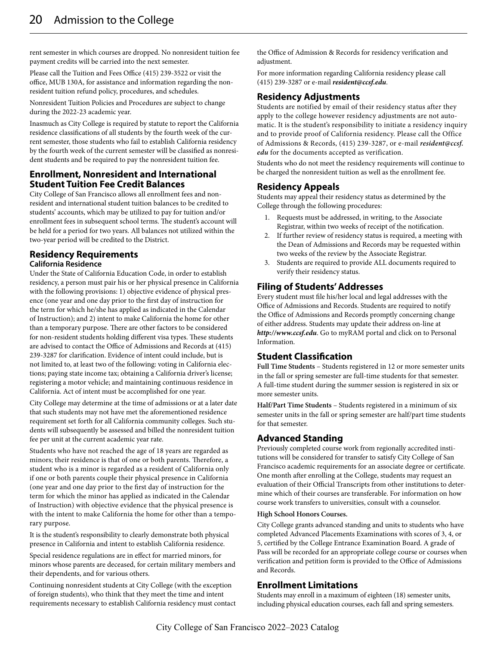rent semester in which courses are dropped. No nonresident tuition fee payment credits will be carried into the next semester.

Please call the Tuition and Fees Office (415) 239-3522 or visit the office, MUB 130A, for assistance and information regarding the nonresident tuition refund policy, procedures, and schedules.

Nonresident Tuition Policies and Procedures are subject to change during the 2022-23 academic year.

Inasmuch as City College is required by statute to report the California residence classifications of all students by the fourth week of the current semester, those students who fail to establish California residency by the fourth week of the current semester will be classified as nonresident students and be required to pay the nonresident tuition fee.

## **Enrollment, Nonresident and International Student Tuition Fee Credit Balances**

City College of San Francisco allows all enrollment fees and nonresident and international student tuition balances to be credited to students' accounts, which may be utilized to pay for tuition and/or enrollment fees in subsequent school terms. The student's account will be held for a period for two years. All balances not utilized within the two-year period will be credited to the District.

#### **Residency Requirements California Residence**

Under the State of California Education Code, in order to establish residency, a person must pair his or her physical presence in California with the following provisions: 1) objective evidence of physical presence (one year and one day prior to the first day of instruction for the term for which he/she has applied as indicated in the Calendar of Instruction); and 2) intent to make California the home for other than a temporary purpose. There are other factors to be considered for non-resident students holding different visa types. These students are advised to contact the Office of Admissions and Records at (415) 239-3287 for clarification. Evidence of intent could include, but is not limited to, at least two of the following: voting in California elections; paying state income tax; obtaining a California driver's license; registering a motor vehicle; and maintaining continuous residence in California. Act of intent must be accomplished for one year.

City College may determine at the time of admissions or at a later date that such students may not have met the aforementioned residence requirement set forth for all California community colleges. Such students will subsequently be assessed and billed the nonresident tuition fee per unit at the current academic year rate.

Students who have not reached the age of 18 years are regarded as minors; their residence is that of one or both parents. Therefore, a student who is a minor is regarded as a resident of California only if one or both parents couple their physical presence in California (one year and one day prior to the first day of instruction for the term for which the minor has applied as indicated in the Calendar of Instruction) with objective evidence that the physical presence is with the intent to make California the home for other than a temporary purpose.

It is the student's responsibility to clearly demonstrate both physical presence in California and intent to establish California residence.

Special residence regulations are in effect for married minors, for minors whose parents are deceased, for certain military members and their dependents, and for various others.

Continuing nonresident students at City College (with the exception of foreign students), who think that they meet the time and intent requirements necessary to establish California residency must contact the Office of Admission & Records for residency verification and adiustment.

For more information regarding California residency please call (415) 239-3287 or e-mail *resident@ccsf.edu*.

#### **Residency Adjustments**

Students are notified by email of their residency status after they apply to the college however residency adjustments are not automatic. It is the student's responsibility to initiate a residency inquiry and to provide proof of California residency. Please call the Office of Admissions & Records, (415) 239-3287, or e-mail *resident@ccsf. edu* for the documents accepted as verification.

Students who do not meet the residency requirements will continue to be charged the nonresident tuition as well as the enrollment fee.

## **Residency Appeals**

Students may appeal their residency status as determined by the College through the following procedures:

- 1. Requests must be addressed, in writing, to the Associate Registrar, within two weeks of receipt of the notification.
- 2. If further review of residency status is required, a meeting with the Dean of Admissions and Records may be requested within two weeks of the review by the Associate Registrar.
- 3. Students are required to provide ALL documents required to verify their residency status.

# **Filing of Students' Addresses**

Every student must file his/her local and legal addresses with the Office of Admissions and Records. Students are required to notify the Office of Admissions and Records promptly concerning change of either address. Students may update their address on-line at *http://www.ccsf.edu*. Go to myRAM portal and click on to Personal Information.

# **Student Classification**

**Full Time Students** – Students registered in 12 or more semester units in the fall or spring semester are full-time students for that semester. A full-time student during the summer session is registered in six or more semester units.

**Half/Part Time Students** – Students registered in a minimum of six semester units in the fall or spring semester are half/part time students for that semester.

## **Advanced Standing**

Previously completed course work from regionally accredited institutions will be considered for transfer to satisfy City College of San Francisco academic requirements for an associate degree or certificate. One month after enrolling at the College, students may request an evaluation of their Official Transcripts from other institutions to determine which of their courses are transferable. For information on how course work transfers to universities, consult with a counselor.

#### **High School Honors Courses.**

City College grants advanced standing and units to students who have completed Advanced Placements Examinations with scores of 3, 4, or 5, certified by the College Entrance Examination Board. A grade of Pass will be recorded for an appropriate college course or courses when verification and petition form is provided to the Office of Admissions and Records.

#### **Enrollment Limitations**

Students may enroll in a maximum of eighteen (18) semester units, including physical education courses, each fall and spring semesters.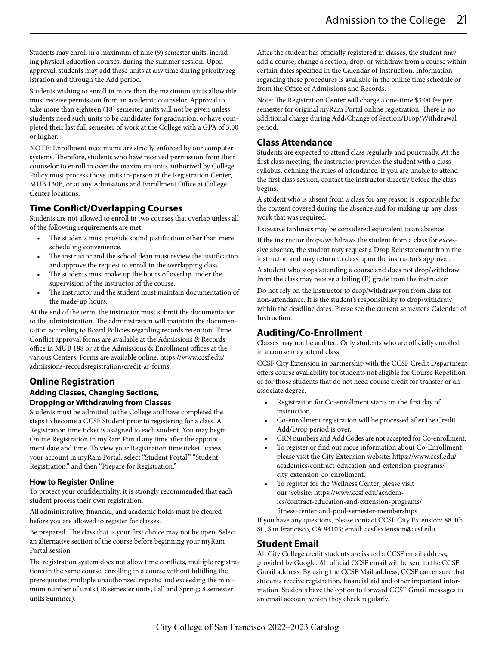Students may enroll in a maximum of nine (9) semester units, including physical education courses, during the summer session. Upon approval, students may add these units at any time during priority registration and through the Add period.

Students wishing to enroll in more than the maximum units allowable must receive permission from an academic counselor. Approval to take more than eighteen (18) semester units will not be given unless students need such units to be candidates for graduation, or have completed their last full semester of work at the College with a GPA of 3.00 or higher.

NOTE: Enrollment maximums are strictly enforced by our computer systems. Therefore, students who have received permission from their counselor to enroll in over the maximum units authorized by College Policy must process those units in-person at the Registration Center, MUB 130B, or at any Admissions and Enrollment Office at College Center locations.

# **Time Conflict/Overlapping Courses**

Students are not allowed to enroll in two courses that overlap unless all of the following requirements are met:

- The students must provide sound justification other than mere scheduling convenience.
- The instructor and the school dean must review the justification and approve the request to enroll in the overlapping class.
- The students must make up the hours of overlap under the supervision of the instructor of the course.
- The instructor and the student must maintain documentation of the made-up hours.

At the end of the term, the instructor must submit the documentation to the administration. The administration will maintain the documentation according to Board Policies regarding records retention. Time Conflict approval forms are available at the Admissions & Records office in MUB 188 or at the Admissions & Enrollment offices at the various Centers. Forms are available online: https://www.ccsf.edu/ admissions-recordsregistration/credit-ar-forms.

## **Online Registration**

#### **Adding Classes, Changing Sections, Dropping or Withdrawing from Classes**

Students must be admitted to the College and have completed the steps to become a CCSF Student prior to registering for a class. A Registration time ticket is assigned to each student. You may begin Online Registration in myRam Portal any time after the appointment date and time. To view your Registration time ticket, access your account in myRam Portal, select "Student Portal," "Student Registration," and then "Prepare for Registration."

#### **How to Register Online**

To protect your confidentiality, it is strongly recommended that each student process their own registration.

All administrative, financial, and academic holds must be cleared before you are allowed to register for classes.

Be prepared. The class that is your first choice may not be open. Select an alternative section of the course before beginning your myRam Portal session.

The registration system does not allow time conflicts, multiple registrations in the same course; enrolling in a course without fulfilling the prerequisites; multiple unauthorized repeats; and exceeding the maximum number of units (18 semester units, Fall and Spring; 8 semester units Summer).

After the student has officially registered in classes, the student may add a course, change a section, drop, or withdraw from a course within certain dates specified in the Calendar of Instruction. Information regarding these procedures is available in the online time schedule or from the Office of Admissions and Records.

Note: The Registration Center will charge a one-time \$3.00 fee per semester for original myRam Portal online registration. There is no additional charge during Add/Change of Section/Drop/Withdrawal period.

# **Class Attendance**

Students are expected to attend class regularly and punctually. At the first class meeting, the instructor provides the student with a class syllabus, defining the rules of attendance. If you are unable to attend the first class session, contact the instructor directly before the class begins.

A student who is absent from a class for any reason is responsible for the content covered during the absence and for making up any class work that was required.

Excessive tardiness may be considered equivalent to an absence.

If the instructor drops/withdraws the student from a class for excessive absence, the student may request a Drop Reinstatement from the instructor, and may return to class upon the instructor's approval.

A student who stops attending a course and does not drop/withdraw from the class may receive a failing (F) grade from the instructor.

Do not rely on the instructor to drop/withdraw you from class for non-attendance. It is the student's responsibility to drop/withdraw within the deadline dates. Please see the current semester's Calendar of **Instruction** 

## **Auditing/Co-Enrollment**

Classes may not be audited. Only students who are officially enrolled in a course may attend class.

CCSF City Extension in partnership with the CCSF Credit Department offers course availability for students not eligible for Course Repetition or for those students that do not need course credit for transfer or an associate degree.

- Registration for Co-enrollment starts on the first day of instruction.
- Co-enrollment registration will be processed after the Credit Add/Drop period is over.
- CRN numbers and Add Codes are not accepted for Co-enrollment.
- To register or find out more information about Co-Enrollment, please visit the City Extension website: https://www.ccsf.edu/ academics/contract-education-and-extension-programs/ city-extension-co-enrollment.
- To register for the Wellness Center, please visit our website: https://www.ccsf.edu/academics/contract-education-and-extension-programs/ fitness-center-and-pool-semester-memberships

If you have any questions, please contact CCSF City Extension: 88 4th St., San Francisco, CA 94103; email: ccsf.extension@ccsf.edu

# **Student Email**

All City College credit students are issued a CCSF email address, provided by Google. All official CCSF email will be sent to the CCSF Gmail address. By using the CCSF Mail address, CCSF can ensure that students receive registration, financial aid and other important information. Students have the option to forward CCSF Gmail messages to an email account which they check regularly.